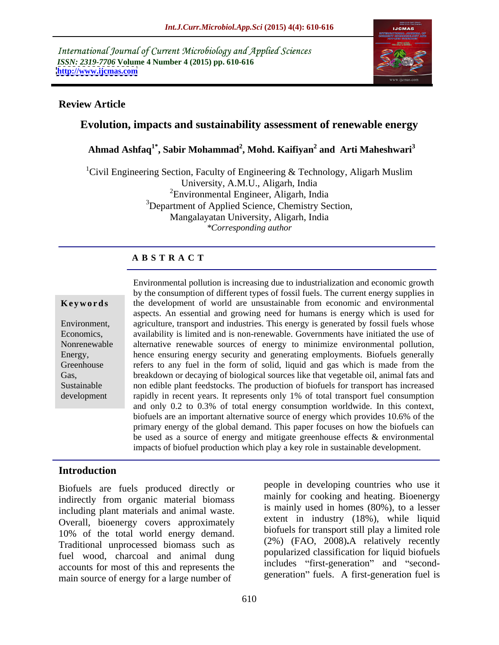International Journal of Current Microbiology and Applied Sciences *ISSN: 2319-7706* **Volume 4 Number 4 (2015) pp. 610-616 <http://www.ijcmas.com>**



## **Review Article**

# **Evolution, impacts and sustainability assessment of renewable energy**

 **Ahmad Ashfaq1\* , Sabir Mohammad<sup>2</sup> , Mohd. Kaifiyan<sup>2</sup> and Arti Maheshwari<sup>3</sup>**

<sup>1</sup>Civil Engineering Section, Faculty of Engineering & Technology, Aligarh Muslim University, A.M.U., Aligarh, India 2Environmental Engineer, Aligarh, India <sup>3</sup>Department of Applied Science, Chemistry Section, Mangalayatan University, Aligarh, India *\*Corresponding author*

## **A B S T R A C T**

development

Environmental pollution is increasing due to industrialization and economic growth by the consumption of different types of fossil fuels. The current energy supplies in **Keywords** the development of world are unsustainable from economic and environmental aspects. An essential and growing need for humans is energy which is used for Environment, agriculture, transport and industries. This energy is generated by fossil fuels whose Economics, a vailability is limited and is non-renewable. Governments have initiated the use of Nonrenewable alternative renewable sources of energy to minimize environmental pollution, hence ensuring energy security and generating employments. Biofuels generally Energy, Greenhouse effers to any fuel in the form of solid, liquid and gas which is made from the breakdown or decaying of biological sources like that vegetable oil, animal fats and Gas, non edible plant feedstocks. The production of biofuels for transport has increased Sustainable rapidly in recent years. It represents only 1% of total transport fuel consumption and only 0.2 to 0.3% of total energy consumption worldwide. In this context, biofuels are an important alternative source of energy which provides 10.6% of the primary energy of the global demand. This paper focuses on how the biofuels can be used as a source of energy and mitigate greenhouse effects & environmental impacts of biofuel production which play a key role in sustainable development.

## **Introduction**

Biofuels are fuels produced directly or indirectly from organic material biomass including plant materials and animal waste. Overall, bioenergy covers approximately 10% of the total world energy demand. Traditional unprocessed biomass such as fuel wood, charcoal and animal dung accounts for most of this and represents the main source of energy for a large number of

people in developing countries who use it mainly for cooking and heating. Bioenergy is mainly used in homes (80%), to a lesser extent in industry (18%), while liquid biofuels for transport still play a limited role (2%) (FAO, 2008)**.**A relatively recently popularized classification for liquid biofuels includes "first-generation" and "secondgeneration" fuels. A first-generation fuel is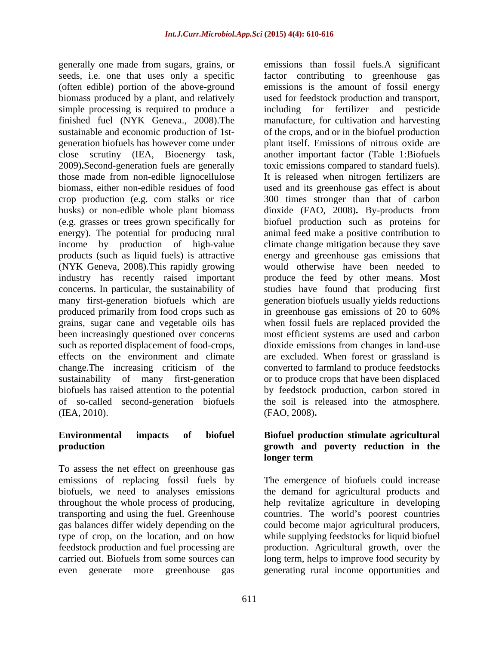generally one made from sugars, grains, or seeds, i.e. one that uses only a specific factor contributing to greenhouse gas (often edible) portion of the above-ground biomass produced by a plant, and relatively used for feedstock production and transport, simple processing is required to produce a including for fertilizer and pesticide finished fuel (NYK Geneva., 2008).The manufacture, for cultivation and harvesting sustainable and economic production of 1st- of the crops, and or in the biofuel production generation biofuels has however come under plant itself. Emissions of nitrous oxide are close scrutiny (IEA, Bioenergy task, another important factor (Table 1:Biofuels 2009)**.**Second-generation fuels are generally toxic emissions compared to standard fuels). those made from non-edible lignocellulose It is released when nitrogen fertilizers are biomass, either non-edible residues of food used and its greenhouse gas effect is about crop production (e.g. corn stalks or rice 300 times stronger than that of carbon husks) or non-edible whole plant biomass dioxide (FAO, 2008)**.** By-products from (e.g. grasses or trees grown specifically for energy). The potential for producing rural animal feed make a positive contribution to income by production of high-value climate change mitigation because they save products (such as liquid fuels) is attractive energy and greenhouse gas emissions that (NYK Geneva, 2008).This rapidly growing would otherwise have been needed to industry has recently raised important produce the feed by other means. Most concerns. In particular, the sustainability of studies have found that producing first many first-generation biofuels which are produced primarily from food crops such as in greenhouse gas emissions of 20 to 60% grains, sugar cane and vegetable oils has when fossil fuels are replaced provided the been increasingly questioned over concerns most efficient systems are used and carbon such as reported displacement of food-crops, dioxide emissions from changes in land-use effects on the environment and climate are excluded. When forest or grassland is change.The increasing criticism of the converted to farmland to produce feedstocks sustainability of many first-generation biofuels has raised attention to the potential by feedstock production, carbon stored in of so-called second-generation biofuels the soil is released into the atmosphere. (IEA, 2010). (FAO, 2008).

To assess the net effect on greenhouse gas

emissions than fossil fuels.A significant emissions is the amount of fossil energy biofuel production such as proteins for generation biofuels usually yields reductions in greenhouse gas emissions of 20 to 60% or to produce crops that have been displaced (FAO, 2008)**.**

## **Environmental impacts of biofuel Biofuel production stimulate agricultural production growth and poverty reduction in the longer term**

emissions of replacing fossil fuels by The emergence of biofuels could increase biofuels, we need to analyses emissions the demand for agricultural products and throughout the whole process of producing, help revitalize agriculture in developing transporting and using the fuel. Greenhouse countries. The world's poorest countries gas balances differ widely depending on the could become major agricultural producers, type of crop, on the location, and on how while supplying feedstocks for liquid biofuel feedstock production and fuel processing are production. Agricultural growth, over the carried out. Biofuels from some sources can long term, helps to improve food security by even generate more greenhouse gas generating rural income opportunities and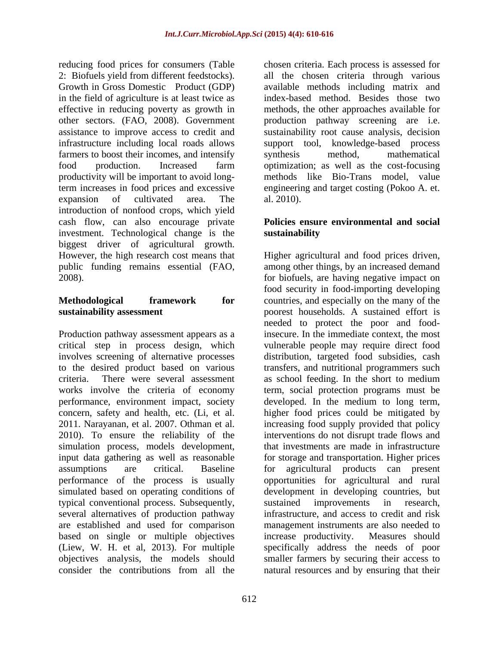reducing food prices for consumers (Table chosen criteria. Each process is assessed for 2: Biofuels yield from different feedstocks). all the chosen criteria through various Growth in Gross Domestic Product (GDP) available methods including matrix and in the field of agriculture is at least twice as index-based method. Besides those two effective in reducing poverty as growth in methods, the other approaches available for other sectors. (FAO, 2008). Government production pathway screening are i.e. assistance to improve access to credit and sustainability root cause analysis, decision infrastructure including local roads allows support tool, knowledge-based process farmers to boost their incomes, and intensify synthesis method, mathematical food production. Increased farm optimization; as well as the cost-focusing productivity will be important to avoid longterm increases in food prices and excessive engineering and target costing (Pokoo A. et. expansion of cultivated area. The al. 2010). introduction of nonfood crops, which yield cash flow, can also encourage private investment. Technological change is the **sustainability** biggest driver of agricultural growth.

Production pathway assessment appears as a 2010). To ensure the reliability of the simulation process, models development, input data gathering as well as reasonable typical conventional process. Subsequently, several alternatives of production pathway are established and used for comparison based on single or multiple objectives increase productivity. Measures should (Liew, W. H. et al, 2013). For multiple

synthesis method, mathematical methods like Bio-Trans model, value al. 2010).

## **Policies ensure environmental and social sustainability**

However, the high research cost means that Higher agricultural and food prices driven, public funding remains essential (FAO, among other things, by an increased demand 2008). for biofuels, are having negative impact on **Methodological framework for** countries, and especially on the many of the **sustainability assessment**  poorest households. A sustained effort is critical step in process design, which vulnerable people may require direct food involves screening of alternative processes distribution, targeted food subsidies, cash to the desired product based on various transfers, and nutritional programmers such criteria. There were several assessment as school feeding. In the short to medium works involve the criteria of economy term, social protection programs must be performance, environment impact, society developed. In the medium to long term, concern, safety and health, etc. (Li, et al. higher food prices could be mitigated by 2011. Narayanan, et al. 2007. Othman et al. increasing food supply provided that policy assumptions are critical. Baseline for agricultural products can present performance of the process is usually opportunities for agricultural and rural simulated based on operating conditions of development in developing countries, but objectives analysis, the models should smaller farmers by securing their access to consider the contributions from all the natural resources and by ensuring that theirfood security in food-importing developing needed to protect the poor and foodinsecure. In the immediate context, the most interventions do not disrupt trade flows and that investments are made in infrastructure for storage and transportation. Higher prices sustained improvements in research, infrastructure, and access to credit and risk management instruments are also needed to increase productivity. Measures should specifically address the needs of poor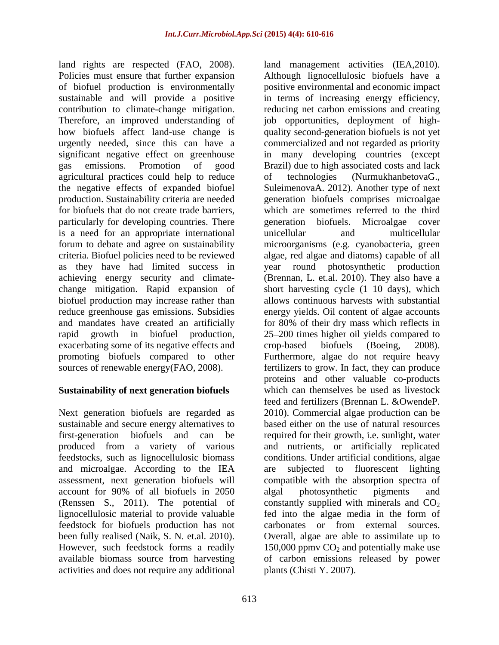agricultural practices could help to reduce particularly for developing countries. There energy equals be permitted. Microalgae cover is a need for an appropriate international exacerbating some of its negative effects and crop-based biofuels (Boeing, 2008). promoting biofuels compared to other Furthermore, algae do not require heavy

# **Sustainability of next generation biofuels**

produced from a variety of various and microalgae. According to the IEA account for 90% of all biofuels in 2050 (Renssen S., 2011). The potential of lignocellulosic material to provide valuable fed into the algae media in the form of feedstock for biofuels production has not activities and does not require any additional

land rights are respected (FAO, 2008). Iand management activities (IEA,2010).<br>Policies must ensure that further expansion Although lignocellulosic biofuels have a of biofuel production is environmentally positive environmental and economic impact sustainable and will provide a positive in terms of increasing energy efficiency, contribution to climate-change mitigation. reducing net carbon emissions and creating Therefore, an improved understanding of job opportunities, deployment of high how biofuels affect land-use change is quality second-generation biofuels is not yet urgently needed, since this can have a commercialized and not regarded as priority significant negative effect on greenhouse in many developing countries (except gas emissions. Promotion of good Brazil) due to high associated costs and lack the negative effects of expanded biofuel SuleimenovaA. 2012). Another type of next production. Sustainability criteria are needed generation biofuels comprises microalgae for biofuels that do not create trade barriers, which are sometimes referred to the third forum to debate and agree on sustainability microorganisms (e.g. cyanobacteria, green criteria. Biofuel policies need to be reviewed algae, red algae and diatoms) capable of all as they have had limited success in year round photosynthetic production achieving energy security and climate- (Brennan, L. et.al. 2010). They also have a change mitigation. Rapid expansion of short harvesting cycle (1–10 days), which biofuel production may increase rather than allows continuous harvests with substantial reduce greenhouse gas emissions. Subsidies energy yields. Oil content of algae accounts and mandates have created an artificially for 80% of their dry mass which reflects in rapid growth in biofuel production, 25 200 times higher oil yields compared to sources of renewable energy(FAO, 2008). fertilizers to grow. In fact, they can produce Next generation biofuels are regarded as 2010). Commercial algae production can be sustainable and secure energy alternatives to based either on the use of natural resources first-generation biofuels and can be required for their growth, i.e. sunlight, water feedstocks, such as lignocellulosic biomass conditions. Under artificial conditions, algae assessment, next generation biofuels will compatible with the absorption spectra of been fully realised (Naik, S. N. et.al. 2010). Overall, algae are able to assimilate up to However, such feedstock forms a readily 150,000 ppmv CO<sub>2</sub> and potentially make use available biomass source from harvesting of carbon emissions released by power land management activities (IEA,2010). Although lignocellulosic biofuels have <sup>a</sup>  $(NurmukhanbetovaG.,)$ generation biofuels. Microalgae cover unicellular and multicellular crop-based biofuels (Boeing, 2008). Furthermore, algae do not require heavy proteins and other valuable co-products which can themselves be used as livestock feed and fertilizers (Brennan L. &OwendeP. and nutrients, or artificially replicated subjected to fluorescent lighting algal photosynthetic pigments and constantly supplied with minerals and  $CO<sub>2</sub>$ fed into the algae media in the form of carbonates or from external sources. Overall, algae are able to assimilate up to 150,000 ppmy  $CO<sub>2</sub>$  and potentially make use plants (Chisti Y. 2007).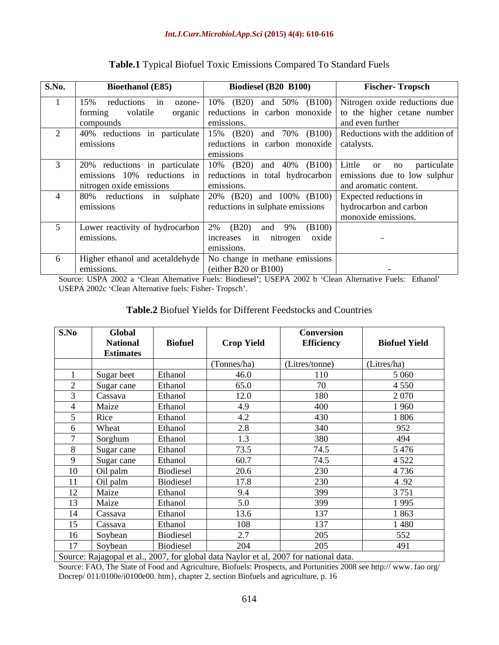| S.No. | <b>Bioethanol</b> (E85)   | <b>Biodiesel (B20 B100)</b>                                                              | <b>Fischer-Tropsch</b> |
|-------|---------------------------|------------------------------------------------------------------------------------------|------------------------|
|       | 15%<br>reductions         | in ozone- $\vert$ 10% (B20) and 50% (B100) Nitrogen oxide reductions due                 |                        |
|       | volatile<br>forming       | organic reductions in carbon monoxide to the higher cetane number                        |                        |
|       | compounds                 |                                                                                          | and even further       |
|       |                           | 40% reductions in particulate 15% (B20) and 70% (B100) Reductions with the addition of   |                        |
|       | emissions                 | reductions in carbon monoxide catalysts.                                                 |                        |
|       |                           |                                                                                          |                        |
|       |                           | 20% reductions in particulate 10% (B20) and 40% (B100) Little or no particulate          |                        |
|       |                           | emissions 10% reductions in reductions in total hydrocarbon emissions due to low sulphur |                        |
|       | Initrogen oxide emissions | emissions                                                                                | and aromatic content.  |
|       |                           | 80% reductions in sulphate $20\%$ (B20) and 100% (B100) Expected reductions in           |                        |
|       | emissions                 | reductions in sulphate emissions   hydrocarbon and carbon                                |                        |
|       |                           |                                                                                          | monoxide emissions.    |
|       |                           | Lower reactivity of hydrocarbon $\vert 2\%$ (B20) and 9% (B100)                          |                        |
|       | emissions.                | increases in nitrogen oxide                                                              |                        |
|       |                           | emissions                                                                                |                        |
|       |                           | Higher ethanol and acetaldehyde   No change in methane emissions                         |                        |
|       | missions.                 | (either B20 or B100)                                                                     |                        |

# **Table.1** Typical Biofuel Toxic Emissions Compared To Standard Fuels

Source: USPA 2002 a 'Clean Alternative Fuels: Biodiesel'; USEPA 2002 b 'Clean Alternative Fuels: Ethanol' USEPA 2002c 'Clean Alternative fuels: Fisher- Tropsch'.

| Table.2 Biofuel<br>r Different Feedstocks and (<br>l Countries<br>$+$ ar I<br>$V$ 10 M<br>Y 11-16<br>1 IVIU |  |
|-------------------------------------------------------------------------------------------------------------|--|
|                                                                                                             |  |

| S.No                                                                             | Global           |                |                   | Conversion        |                      |  |
|----------------------------------------------------------------------------------|------------------|----------------|-------------------|-------------------|----------------------|--|
|                                                                                  | <b>National</b>  | <b>Biofuel</b> | <b>Crop Yield</b> | <b>Efficiency</b> | <b>Biofuel Yield</b> |  |
|                                                                                  | <b>Estimates</b> |                |                   |                   |                      |  |
|                                                                                  |                  |                | (Tonnes/ha)       | (Litres/tonne)    | $(\text{Litres/ha})$ |  |
|                                                                                  | Sugar beet       | Ethanol        | 46.0              | 110               | 5 0 6 0              |  |
|                                                                                  | Sugar cane       | Ethanol        | 65.0              | 70                | 4 5 5 0              |  |
|                                                                                  | Cassava          | Ethanol        | 12.0              | 180               | 2 0 7 0              |  |
|                                                                                  | Maize            | Ethanol        | 4.9               | 400               | 1960                 |  |
|                                                                                  | Rice             | Ethanol        | 4.2               | 430               | 1806                 |  |
|                                                                                  | Wheat            | Ethanol        | 2.8               | 340               | 952                  |  |
|                                                                                  | Sorghum          | Ethanol        | 1.3               | 380               | 494                  |  |
|                                                                                  | Sugar cane       | Ethanol        | 73.5              | 74.5              | 5476                 |  |
|                                                                                  | Sugar cane       | Ethanol        | 60.7              | 74.5              | 4 5 2 2              |  |
| 10                                                                               | Oil palm         | Biodiesel      | 20.6              | 230               | 4736                 |  |
|                                                                                  | Oil palm         | Biodiesel      | 17.8              | 230               | 4.92                 |  |
| 12                                                                               | Maize            | Ethanol        | 9.4               | 399               | 3 7 5 1              |  |
| 13                                                                               | Maize            | Ethanol        | 5.0               | 399               | 1995                 |  |
| 14                                                                               | Cassava          | Ethanol        | 13.6              | 137               | 1863                 |  |
| 15                                                                               | Cassava          | Ethanol        | 108               | 137               | 1 480                |  |
| 16                                                                               | Soybean          | Biodiesel      | 2.7               | 205               | 552                  |  |
| 17                                                                               | Soybean          | Biodiesel      | 204               | 205               | 491                  |  |
| Course Deisearch et al. 2007 for alghed data Noviemet al. 2007 for ustigard data |                  |                |                   |                   |                      |  |

Source: Rajagopal et al., 2007, for global data Naylor et al, 2007 for national data.

Source: FAO, The State of Food and Agriculture, Biofuels: Prospects, and Portunities 2008 see http:// www. fao org/ Docrep/ 011/0100e/i0100e00. htm}, chapter 2, section Biofuels and agriculture, p. 16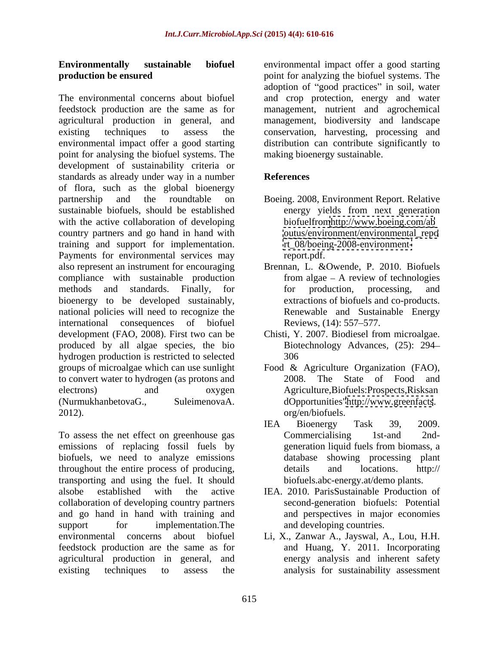The environmental concerns about biofuel and crop protection, energy and water feedstock production are the same as for management, nutrient and agrochemical agricultural production in general, and management, biodiversity and landscape existing techniques to assess the conservation, harvesting, processing and environmental impact offer a good starting distribution can contribute significantly to point for analysing the biofuel systems. The development of sustainability criteria or standards as already under way in a number of flora, such as the global bioenergy partnership and the roundtable on Boeing. 2008, Environment Report. Relative sustainable biofuels, should be established energy yields from next generation with the active collaboration of developing country partners and go hand in hand with training and support for implementation. Payments for environmental services may report.pdf. also represent an instrument for encouraging Brennan, L. &Owende, P. 2010. Biofuels compliance with sustainable production methods and standards. Finally, for for production, processing, and bioenergy to be developed sustainably, national policies will need to recognize the international consequences of biofuel Reviews, (14): 557–577. development (FAO, 2008). First two can be produced by all algae species, the bio hydrogen production is restricted to selected groups of microalgae which can use sunlight Food & Agriculture Organization (FAO), to convert water to hydrogen (as protons and  $2008$ . The State of Food and electrons) and oxygen Agriculture,Biofuels:Prospects,Risksan (NurmukhanbetovaG., SuleimenovaA. dOpportunities["http://www.greenfacts](http://www.greenfacts). 2012). org/en/biofuels.

To assess the net effect on greenhouse gas Commercialising 1st-and 2ndemissions of replacing fossil fuels by biofuels, we need to analyze emissions database showing processing plant throughout the entire process of producing,  $\theta$  details and locations. http:// transporting and using the fuel. It should alsobe established with the active IEA. 2010. ParisSustainable Production of collaboration of developing country partners and go hand in hand with training and support for implementation. The and developing countries. environmental concerns about biofuel Li, X., Zanwar A., Jayswal, A., Lou, H.H. feedstock production are the same as for and Huang, Y. 2011. Incorporating agricultural production in general, and existing techniques to assess the analysis for sustainability assessment

**Environmentally sustainable biofuel** environmental impact offer a good starting **production be ensured point for analyzing the biofuel systems. The** adoption of "good practices" in soil, water making bioenergy sustainable.

# **References**

- biofuelfro[mhttp://www.boeing.com/ab](http://www.boeing.com/ab) [outus/environment/environmental\\_repo](outus/environment/environmental_repo) [rt\\_08/boeing-2008-environment](rt_08/boeing-2008-environment-)report.pdf.
- from algae  $-$  A review of technologies for production, processing, and extractions of biofuels and co-products. Renewable and Sustainable Energy Reviews, (14): 557–577.
- Chisti, Y. 2007. Biodiesel from microalgae. Biotechnology Advances*,* (25): 294 306
- 2008. The State of Food and
- IEA Bioenergy Task 39, 2009. Commercialising 1st-and 2nd generation liquid fuels from biomass, a details and locations. http:// biofuels.abc-energy.at/demo plants.
- second-generation biofuels: Potential and perspectives in major economies
- energy analysis and inherent safety